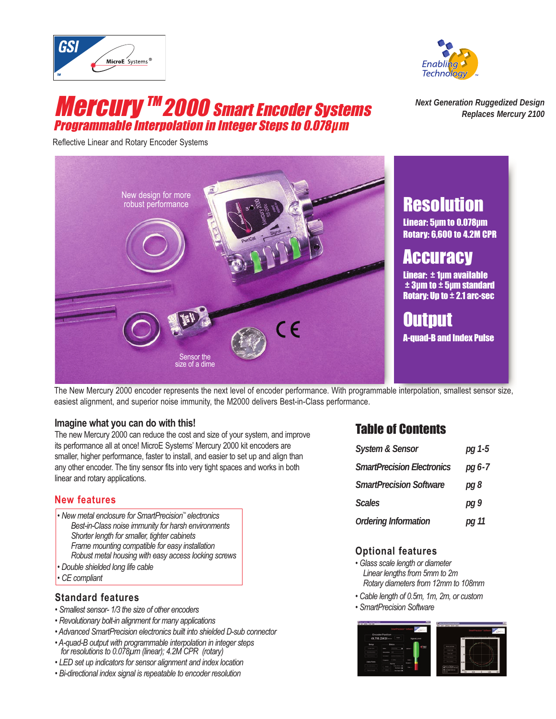



## **Mercury ™ 2000 Smart Encoder Systems** Programmable Interpolation in Integer Steps to 0.078µm

Reflective Linear and Rotary Encoder Systems

*Next Generation Ruggedized Design Replaces Mercury 2100*



The New Mercury 2000 encoder represents the next level of encoder performance. With programmable interpolation, smallest sensor size, easiest alignment, and superior noise immunity, the M2000 delivers Best-in-Class performance.

#### **Imagine what you can do with this!**

The new Mercury 2000 can reduce the cost and size of your system, and improve its performance all at once! MicroE Systems' Mercury 2000 kit encoders are smaller, higher performance, faster to install, and easier to set up and align than any other encoder. The tiny sensor fits into very tight spaces and works in both linear and rotary applications.

#### **New features**

- *New metal enclosure for SmartPrecision™ electronics Best-in-Class noise immunity for harsh environments Shorter length for smaller, tighter cabinets Frame mounting compatible for easy installation Robust metal housing with easy access locking screws • Double shielded long life cable*
- *CE compliant*

#### **Standard features**

- *Smallest sensor- 1/3 the size of other encoders*
- *Revolutionary bolt-in alignment for many applications*
- *Advanced SmartPrecision electronics built into shielded D-sub connector*
- *A-quad-B output with programmable interpolation in integer steps for resolutions to 0.078µm (linear); 4.2M CPR (rotary)*
- *LED set up indicators for sensor alignment and index location*
- *Bi-directional index signal is repeatable to encoder resolution*

#### Table of Contents

| <b>System &amp; Sensor</b>        | $pg1-5$  |
|-----------------------------------|----------|
| <b>SmartPrecision Electronics</b> | $pg 6-7$ |
| <b>SmartPrecision Software</b>    | pg 8     |
| <b>Scales</b>                     | pg9      |
| <b>Ordering Information</b>       | pg 11    |

#### **Optional features**

- *Glass scale length or diameter Linear lengths from 5mm to 2m Rotary diameters from 12mm to 108mm*
- *Cable length of 0.5m, 1m, 2m, or custom*
- *SmartPrecision Software*

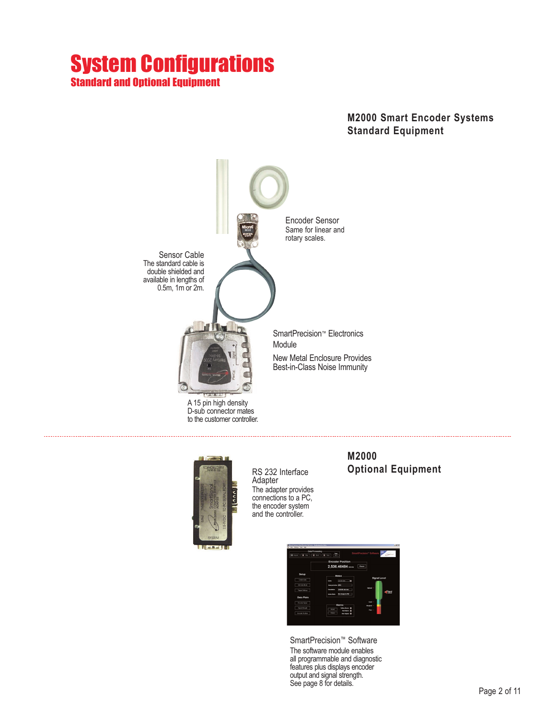## System Configurations **Standard and Ontional Equipment**

#### **M2000 Smart Encoder Systems Standard Equipment**





RS 232 Interface **Adapter** The adapter provides connections to a PC, the encoder system and the controller.

#### **M2000 Optional Equipment**



SmartPrecision™ Software The software module enables all programmable and diagnostic features plus displays encoder output and signal strength. See page 8 for details.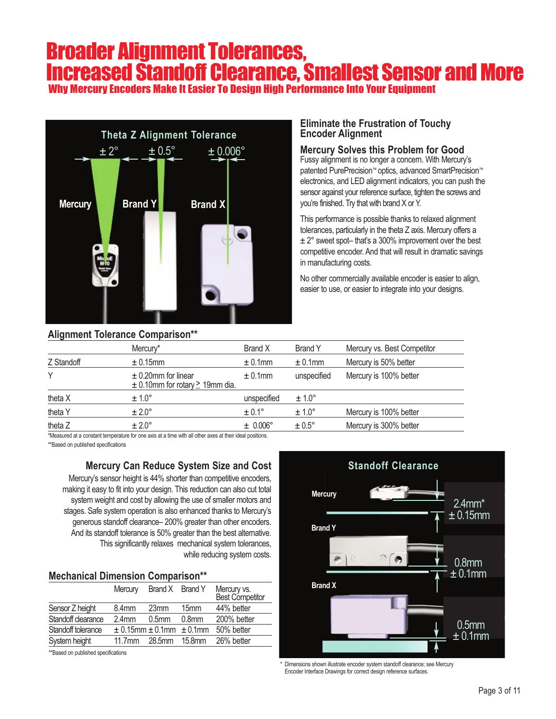## Broader Alignment Tolerances, Increased Standoff Clearance, Smallest Sensor and More

Why Mercury Encoders Make It Easier To Design High Performance Into Your Equipment



#### **Alignment Tolerance Comparison\*\***

#### **Eliminate the Frustration of Touchy Encoder Alignment**

#### **Mercury Solves this Problem for Good**

Fussy alignment is no longer a concern. With Mercury's patented PurePrecision™ optics, advanced SmartPrecision™ electronics, and LED alignment indicators, you can push the sensor against your reference surface, tighten the screws and you're finished. Try that with brand X or Y.

This performance is possible thanks to relaxed alignment tolerances, particularly in the theta Z axis. Mercury offers a ± 2° sweet spot– that's a 300% improvement over the best competitive encoder. And that will result in dramatic savings in manufacturing costs.

No other commercially available encoder is easier to align, easier to use, or easier to integrate into your designs.

| <b>Allythrone Tolcrative Obtilpation</b> | Mercury*                                                            | Brand X           | <b>Brand Y</b>    | Mercury vs. Best Competitor |
|------------------------------------------|---------------------------------------------------------------------|-------------------|-------------------|-----------------------------|
| Z Standoff                               | ± 0.15mm                                                            | $± 0.1$ mm        | $± 0.1$ mm        | Mercury is 50% better       |
| Υ                                        | $\pm$ 0.20mm for linear<br>$\pm$ 0.10mm for rotary $\geq$ 19mm dia. | $± 0.1$ mm        | unspecified       | Mercury is 100% better      |
| theta X                                  | $± 1.0^{\circ}$                                                     | unspecified       | $\pm 1.0^{\circ}$ |                             |
| theta Y                                  | $\pm 2.0^{\circ}$                                                   | $\pm 0.1^{\circ}$ | $\pm 1.0^{\circ}$ | Mercury is 100% better      |
| theta Z                                  | $± 2.0^\circ$                                                       | ± 0.006°          | $\pm 0.5^{\circ}$ | Mercury is 300% better      |

Measured at a constant temperature for one axis at a time with all other axes at their ideal positions.

\*\*Based on published specifications

#### **Mercury Can Reduce System Size and Cost**

Mercury's sensor height is 44% shorter than competitive encoders, making it easy to fit into your design. This reduction can also cut total system weight and cost by allowing the use of smaller motors and stages. Safe system operation is also enhanced thanks to Mercury's generous standoff clearance– 200% greater than other encoders. And its standoff tolerance is 50% greater than the best alternative. This significantly relaxes mechanical system tolerances, while reducing system costs.

|  | <b>Mechanical Dimension Comparison**</b> |  |  |
|--|------------------------------------------|--|--|
|--|------------------------------------------|--|--|

|                    | Mercury            | Brand X Brand Y                      |                    | Mercury vs.<br>Best Competitor |
|--------------------|--------------------|--------------------------------------|--------------------|--------------------------------|
| Sensor Z height    | 8.4 <sub>mm</sub>  | 23 <sub>mm</sub>                     | 15 <sub>mm</sub>   | 44% better                     |
| Standoff clearance | 2.4 <sub>mm</sub>  | 0.5 <sub>mm</sub>                    | 0.8 <sub>mm</sub>  | 200% better                    |
| Standoff tolerance |                    | $\pm$ 0.15mm $\pm$ 0.1mm $\pm$ 0.1mm |                    | 50% better                     |
| System height      | 11.7 <sub>mm</sub> | 28.5mm                               | 15.8 <sub>mm</sub> | 26% better                     |
|                    |                    |                                      |                    |                                |

\*\*Based on published specifications



Dimensions shown illustrate encoder system standoff clearance; see Mercury Encoder Interface Drawings for correct design reference surfaces.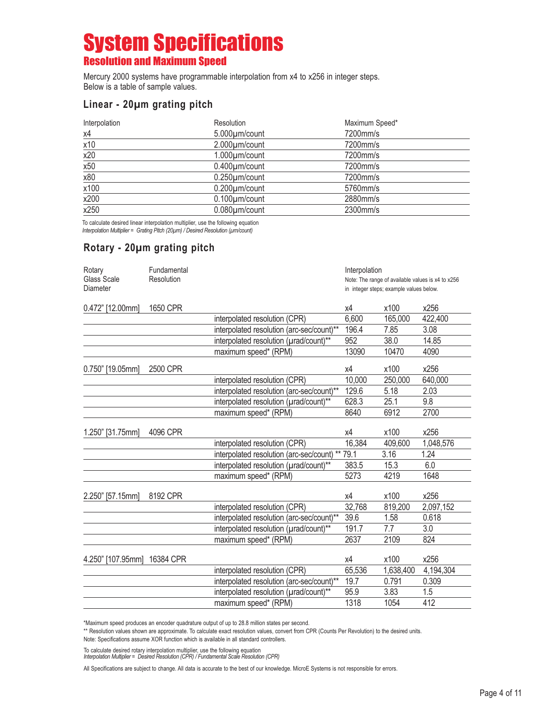## System Specifications Resolution and Maximum Speed

Mercury 2000 systems have programmable interpolation from x4 to x256 in integer steps. Below is a table of sample values.

#### **Linear - 20µm grating pitch**

| Interpolation | Resolution           | Maximum Speed* |
|---------------|----------------------|----------------|
| x4            | 5.000µm/count        | 7200mm/s       |
| x10           | 2.000µm/count        | 7200mm/s       |
| x20           | $1.000 \mu m$ /count | 7200mm/s       |
| x50           | $0.400 \mu m$ /count | 7200mm/s       |
| x80           | $0.250 \mu m$ /count | 7200mm/s       |
| x100          | $0.200 \mu m$ /count | 5760mm/s       |
| x200          | $0.100 \mu m$ /count | 2880mm/s       |
| x250          | $0.080 \mu m$ /count | 2300mm/s       |

To calculate desired linear interpolation multiplier, use the following equation *Interpolation Multiplier = Grating Pitch (20µm) / Desired Resolution (µm/count)*

#### **Rotary - 20µm grating pitch**

| Rotary            | Fundamental |                                                 | Interpolation                                     |                                         |           |
|-------------------|-------------|-------------------------------------------------|---------------------------------------------------|-----------------------------------------|-----------|
| Glass Scale       | Resolution  |                                                 | Note: The range of available values is x4 to x256 |                                         |           |
| Diameter          |             |                                                 |                                                   | in integer steps; example values below. |           |
| 0.472" [12.00mm]  | 1650 CPR    |                                                 | х4                                                | x100                                    | x256      |
|                   |             | interpolated resolution (CPR)                   | 6,600                                             | 165,000                                 | 422,400   |
|                   |             | interpolated resolution (arc-sec/count)**       | 196.4                                             | 7.85                                    | 3.08      |
|                   |             | interpolated resolution (urad/count)**          | 952                                               | 38.0                                    | 14.85     |
|                   |             | maximum speed* (RPM)                            | 13090                                             | 10470                                   | 4090      |
| 0.750" [19.05mm]  | 2500 CPR    |                                                 | χ4                                                | x100                                    | x256      |
|                   |             | interpolated resolution (CPR)                   | 10,000                                            | 250,000                                 | 640,000   |
|                   |             | interpolated resolution (arc-sec/count)**       | 129.6                                             | 5.18                                    | 2.03      |
|                   |             | interpolated resolution (urad/count)**          | 628.3                                             | 25.1                                    | 9.8       |
|                   |             | maximum speed* (RPM)                            | 8640                                              | 6912                                    | 2700      |
| 1.250" [31.75mm]  | 4096 CPR    |                                                 | х4                                                | x100                                    | x256      |
|                   |             | interpolated resolution (CPR)                   | 16,384                                            | 409,600                                 | 1,048,576 |
|                   |             | interpolated resolution (arc-sec/count) ** 79.1 |                                                   | 3.16                                    | 1.24      |
|                   |             | interpolated resolution (urad/count)**          | 383.5                                             | 15.3                                    | 6.0       |
|                   |             | maximum speed* (RPM)                            | 5273                                              | 4219                                    | 1648      |
| 2.250" [57.15mm]  | 8192 CPR    |                                                 | χ4                                                | x100                                    | x256      |
|                   |             | interpolated resolution (CPR)                   | 32,768                                            | 819,200                                 | 2,097,152 |
|                   |             | interpolated resolution (arc-sec/count)**       | 39.6                                              | 1.58                                    | 0.618     |
|                   |             | interpolated resolution (urad/count)**          | 191.7                                             | 7.7                                     | 3.0       |
|                   |             | maximum speed* (RPM)                            | 2637                                              | 2109                                    | 824       |
| 4.250" [107.95mm] | 16384 CPR   |                                                 | χ4                                                | x100                                    | x256      |
|                   |             | interpolated resolution (CPR)                   | 65,536                                            | 1,638,400                               | 4,194,304 |
|                   |             | interpolated resolution (arc-sec/count)**       | 19.7                                              | 0.791                                   | 0.309     |
|                   |             | interpolated resolution (urad/count)**          | 95.9                                              | 3.83                                    | 1.5       |
|                   |             | maximum speed* (RPM)                            | 1318                                              | 1054                                    | 412       |

\*Maximum speed produces an encoder quadrature output of up to 28.8 million states per second.

\*\* Resolution values shown are approximate. To calculate exact resolution values, convert from CPR (Counts Per Revolution) to the desired units.

Note: Specifications assume XOR function which is available in all standard controllers.

To calculate desired rotary interpolation multiplier, use the following equation *Interpolation Multiplier = Desired Resolution (CPR) / Fundamental Scale Resolution (CPR)*

All Specifications are subject to change. All data is accurate to the best of our knowledge. MicroE Systems is not responsible for errors.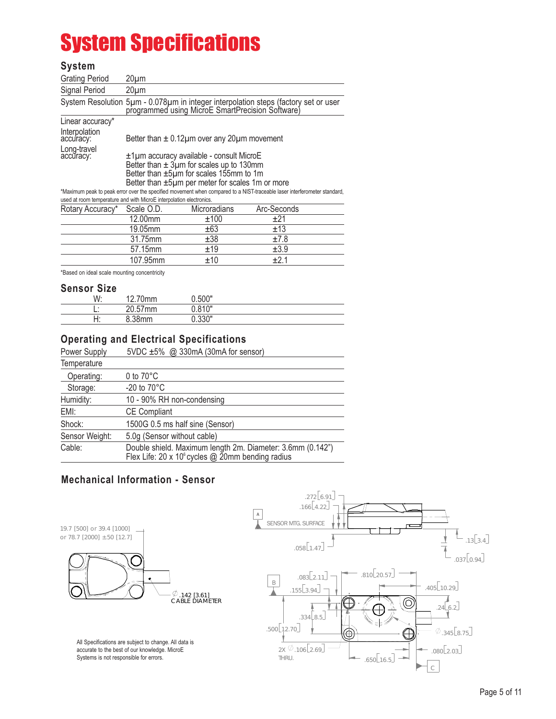# System Specifications

#### **System**

| <b>Grating Period</b>      | 20µm                                                                                                                                                                                    |
|----------------------------|-----------------------------------------------------------------------------------------------------------------------------------------------------------------------------------------|
| Signal Period              | $20 \mu m$                                                                                                                                                                              |
|                            | System Resolution 5um - 0.078um in integer interpolation steps (factory set or user<br>programmed using MicroE SmartPrecision Software)                                                 |
| Linear accuracy*           |                                                                                                                                                                                         |
| Interpolation<br>accuracy: | Better than $\pm$ 0.12 $\mu$ m over any 20 $\mu$ m movement                                                                                                                             |
| Long-travel<br>accuracy:   | ±1µm accuracy available - consult MicroE<br>Better than $\pm$ 3µm for scales up to 130mm<br>Better than ±5µm for scales 155mm to 1m<br>Better than ±5µm per meter for scales 1m or more |
|                            | *Maximum peak to peak error over the specified movement when compared to a NIST-traceable laser interferometer standard,                                                                |

used at room temperature and with MicroE interpolation electronics.

| Rotary Accuracy* | Scale O.D. | <b>Microradians</b> | Arc-Seconds |  |
|------------------|------------|---------------------|-------------|--|
|                  | 12.00mm    | ±100                | +21         |  |
|                  | 19.05mm    | ±63                 | ±13         |  |
|                  | 31.75mm    | ±38                 | ±7.8        |  |
|                  | 57.15mm    | ±19                 | ±3.9        |  |
|                  | 107.95mm   | ±10                 | +21         |  |
|                  |            |                     |             |  |

\*Based on ideal scale mounting concentricity

#### **Sensor Size**

| ___________ |                       |        |  |
|-------------|-----------------------|--------|--|
| W:          | 70mm<br>10.<br>$\sim$ | J.500" |  |
|             | 20.57mm               | ∩ 04∩" |  |
| ┙<br>.      | 8.38mm                | 0.330" |  |

#### **Operating and Electrical Specifications**

| 5VDC $\pm 5\%$ @ 330mA (30mA for sensor)                                                                                 |
|--------------------------------------------------------------------------------------------------------------------------|
|                                                                                                                          |
| 0 to $70^{\circ}$ C                                                                                                      |
| -20 to $70^{\circ}$ C                                                                                                    |
| 10 - 90% RH non-condensing                                                                                               |
| <b>CE Compliant</b>                                                                                                      |
| 1500G 0.5 ms half sine (Sensor)                                                                                          |
| 5.0g (Sensor without cable)                                                                                              |
| Double shield. Maximum length 2m. Diameter: 3.6mm (0.142")<br>Flex Life: 20 x 10 $^{\circ}$ cycles @ 20mm bending radius |
|                                                                                                                          |

#### **Mechanical Information - Sensor**

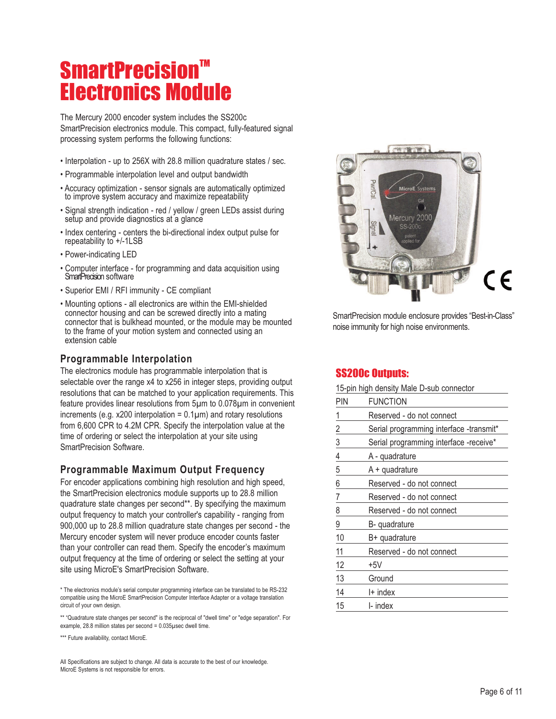# **SmartPrecision™** Electronics Module

The Mercury 2000 encoder system includes the SS200c SmartPrecision electronics module. This compact, fully-featured signal processing system performs the following functions:

- Interpolation up to 256X with 28.8 million quadrature states / sec.
- Programmable interpolation level and output bandwidth
- Accuracy optimization sensor signals are automatically optimized to improve system accuracy and maximize repeatability
- Signal strength indication red / yellow / green LEDs assist during setup and provide diagnostics at a glance
- Index centering centers the bi-directional index output pulse for repeatability to +/-1LSB
- Power-indicating LED
- Computer interface for programming and data acquisition using SmartPrecision software
- Superior EMI / RFI immunity CE compliant
- Mounting options all electronics are within the EMI-shielded connector housing and can be screwed directly into a mating connector that is bulkhead mounted, or the module may be mounted to the frame of your motion system and connected using an extension cable

#### **Programmable Interpolation**

The electronics module has programmable interpolation that is selectable over the range x4 to x256 in integer steps, providing output resolutions that can be matched to your application requirements. This feature provides linear resolutions from 5µm to 0.078µm in convenient increments (e.g. x200 interpolation =  $0.1 \mu m$ ) and rotary resolutions from 6,600 CPR to 4.2M CPR. Specify the interpolation value at the time of ordering or select the interpolation at your site using SmartPrecision Software.

#### **Programmable Maximum Output Frequency**

For encoder applications combining high resolution and high speed, the SmartPrecision electronics module supports up to 28.8 million quadrature state changes per second\*\*. By specifying the maximum output frequency to match your controller's capability - ranging from 900,000 up to 28.8 million quadrature state changes per second - the Mercury encoder system will never produce encoder counts faster than your controller can read them. Specify the encoder's maximum output frequency at the time of ordering or select the setting at your site using MicroE's SmartPrecision Software.

\*\* "Quadrature state changes per second" is the reciprocal of "dwell time" or "edge separation". For example, 28.8 million states per second = 0.035µsec dwell time.

\*\*\* Future availability, contact MicroE.

All Specifications are subject to change. All data is accurate to the best of our knowledge. MicroE Systems is not responsible for errors.



SmartPrecision module enclosure provides "Best-in-Class" noise immunity for high noise environments.

#### SS200c Outputs:

| 15-pin high density Male D-sub connector |                                         |  |  |
|------------------------------------------|-----------------------------------------|--|--|
| PIN                                      | <b>FUNCTION</b>                         |  |  |
| 1                                        | Reserved - do not connect               |  |  |
|                                          | Serial programming interface -transmit* |  |  |
| $rac{2}{3}$                              | Serial programming interface -receive*  |  |  |
| 4                                        | A - quadrature                          |  |  |
| 5                                        | A + quadrature                          |  |  |
| 6                                        | Reserved - do not connect               |  |  |
| $\overline{7}$                           | Reserved - do not connect               |  |  |
| 8                                        | Reserved - do not connect               |  |  |
| 9                                        | B-quadrature                            |  |  |
| 10                                       | B+ quadrature                           |  |  |
| 11                                       | Reserved - do not connect               |  |  |
| 12                                       | +5V                                     |  |  |
| 13                                       | Ground                                  |  |  |
| 14                                       | I+ index                                |  |  |
| 15                                       | I- index                                |  |  |

<sup>\*</sup> The electronics module's serial computer programming interface can be translated to be RS-232 compatible using the MicroE SmartPrecision Computer Interface Adapter or a voltage translation circuit of your own design.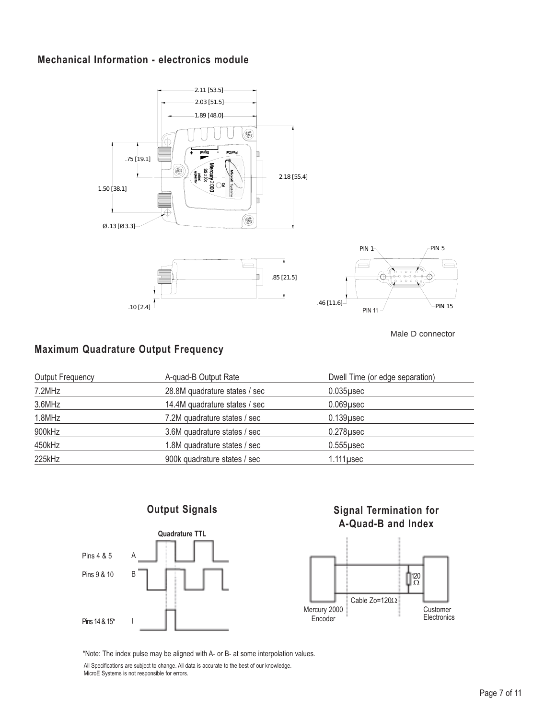#### **Mechanical Information - electronics module**



Male D connector

#### **Maximum Quadrature Output Frequency**

| <b>Output Frequency</b> | A-quad-B Output Rate          | Dwell Time (or edge separation) |
|-------------------------|-------------------------------|---------------------------------|
| 7.2MHz                  | 28.8M quadrature states / sec | $0.035$ usec                    |
| 3.6MHz                  | 14.4M quadrature states / sec | $0.069$ usec                    |
| 1.8MHz                  | 7.2M quadrature states / sec  | $0.139$ usec                    |
| 900kHz                  | 3.6M quadrature states / sec  | $0.278$ usec                    |
| 450kHz                  | 1.8M quadrature states / sec  | $0.555$ usec                    |
| 225kHz                  | 900k quadrature states / sec  | $1.111$ µsec                    |
|                         |                               |                                 |

#### **Output Signals**



#### **Signal Termination for A-Quad-B and Index**



\*Note: The index pulse may be aligned with A- or B- at some interpolation values.

All Specifications are subject to change. All data is accurate to the best of our knowledge. MicroE Systems is not responsible for errors.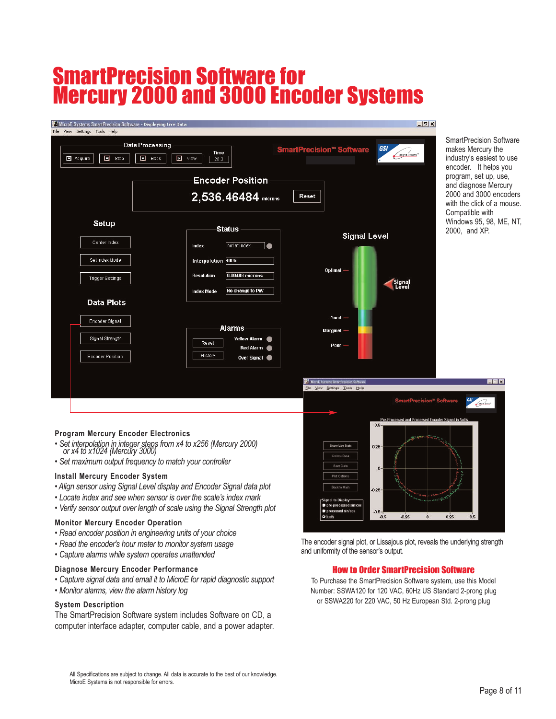## SmartPrecision Software for Mercury 2000 and 3000 Encoder Systems

| MicroE Systems SmartPrecision Software - Displaying Live Data<br>File View Settings Tools Help<br>$\Box$ Stop<br>Acquire | Data Processing<br>Time<br>$\Box$ Back<br>I View<br>28.3<br><b>Encoder Position</b><br>2,536.46484 microns                                        | $-17x$<br>GSI<br><b>SmartPrecision™ Software</b><br>MicroE Systems <sup>®</sup><br>Reset | <b>SmartPrecision Software</b><br>makes Mercury the<br>industry's easiest to use<br>encoder. It helps you<br>program, set up, use,<br>and diagnose Mercury<br>2000 and 3000 encoders<br>with the click of a mouse. |
|--------------------------------------------------------------------------------------------------------------------------|---------------------------------------------------------------------------------------------------------------------------------------------------|------------------------------------------------------------------------------------------|--------------------------------------------------------------------------------------------------------------------------------------------------------------------------------------------------------------------|
| Setup<br>Center Index<br>Set Index Mode<br><b>Trigger Settings</b><br><b>Data Plots</b>                                  | <b>Status</b><br>not at index<br>۰<br>Index<br>Interpolation 4096<br>0.00488 microns<br><b>Resolution</b><br>No change to PW<br><b>Index Mode</b> | <b>Signal Level</b><br>Optimal -<br><b>Signal</b><br>Level                               | Compatible with<br>Windows 95, 98, ME, NT,<br>2000, and XP.                                                                                                                                                        |
| Encoder Signal<br>Signal Strength                                                                                        | -Alarms<br>Yellow Alarm<br>Reset                                                                                                                  | $Good -$<br>Marginal —                                                                   |                                                                                                                                                                                                                    |
| <b>Encoder Position</b>                                                                                                  | Red Alarm<br>History<br>Over Signal                                                                                                               | P <sub>00f</sub><br>MicroE Systems SmartPrecision Software                               | Rax                                                                                                                                                                                                                |
|                                                                                                                          |                                                                                                                                                   | Eile View Settings Tools Help<br>SmartPrecision™ Software                                | GSI<br><u>Cambiana</u> r                                                                                                                                                                                           |

#### **Program Mercury Encoder Electronics**

- *Set interpolation in integer steps from x4 to x256 (Mercury 2000) or x4 to x1024 (Mercury 3000)*
- *Set maximum output frequency to match your controller*

#### **Install Mercury Encoder System**

- *Align sensor using Signal Level display and Encoder Signal data plot*
- *Locate index and see when sensor is over the scale's index mark*
- *Verify sensor output over length of scale using the Signal Strength plot*

#### **Monitor Mercury Encoder Operation**

- *Read encoder position in engineering units of your choice*
- *Read the encoder's hour meter to monitor system usage*
- *Capture alarms while system operates unattended*

#### **Diagnose Mercury Encoder Performance**

- *Capture signal data and email it to MicroE for rapid diagnostic support*
- *Monitor alarms, view the alarm history log*

#### **System Description**

The SmartPrecision Software system includes Software on CD, a computer interface adapter, computer cable, and a power adapter.

ad Encoder St  $0.6$ .<br>Dali kata Panisa  $0.25$ 0.25  $0.5$  $0.25$  $0.25$  $0.5$ 

The encoder signal plot, or Lissajous plot, reveals the underlying strength and uniformity of the sensor's output.

#### How to Order SmartPrecision Software

To Purchase the SmartPrecision Software system, use this Model Number: SSWA120 for 120 VAC, 60Hz US Standard 2-prong plug or SSWA220 for 220 VAC, 50 Hz European Std. 2-prong plug

All Specifications are subject to change. All data is accurate to the best of our knowledge. MicroE Systems is not responsible for errors.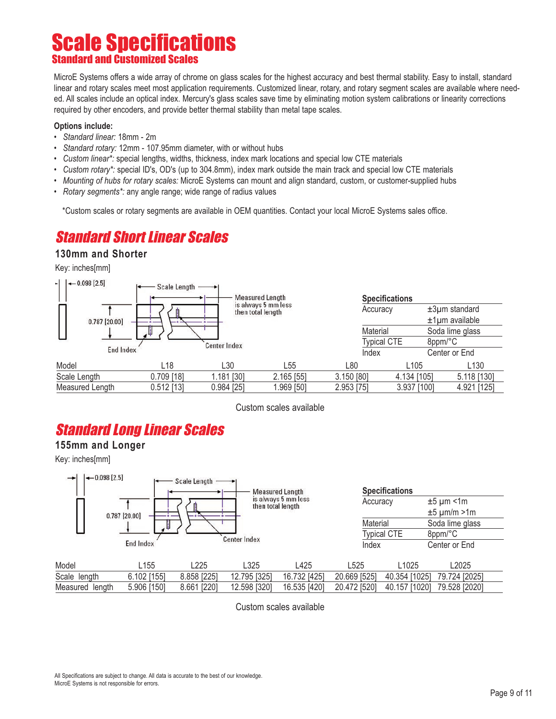## **Scale Specifications** Standard and Customized Scales

MicroE Systems offers a wide array of chrome on glass scales for the highest accuracy and best thermal stability. Easy to install, standard linear and rotary scales meet most application requirements. Customized linear, rotary, and rotary segment scales are available where needed. All scales include an optical index. Mercury's glass scales save time by eliminating motion system calibrations or linearity corrections required by other encoders, and provide better thermal stability than metal tape scales.

#### **Options include:**

- *Standard linear:* 18mm 2m
- *Standard rotary:* 12mm 107.95mm diameter, with or without hubs
- *Custom linear\*:* special lengths, widths, thickness, index mark locations and special low CTE materials
- *Custom rotary\*:* special ID's, OD's (up to 304.8mm), index mark outside the main track and special low CTE materials
- *Mounting of hubs for rotary scales:* MicroE Systems can mount and align standard, custom, or customer-supplied hubs
- *Rotary segments\*:* any angle range; wide range of radius values

\*Custom scales or rotary segments are available in OEM quantities. Contact your local MicroE Systems sales office.

### Standard Short Linear Scales

#### **130mm and Shorter**

Key: inches[mm]



Custom scales available

## Standard Long Linear Scales

#### **155mm and Longer**

Key: inches[mm]



Custom scales available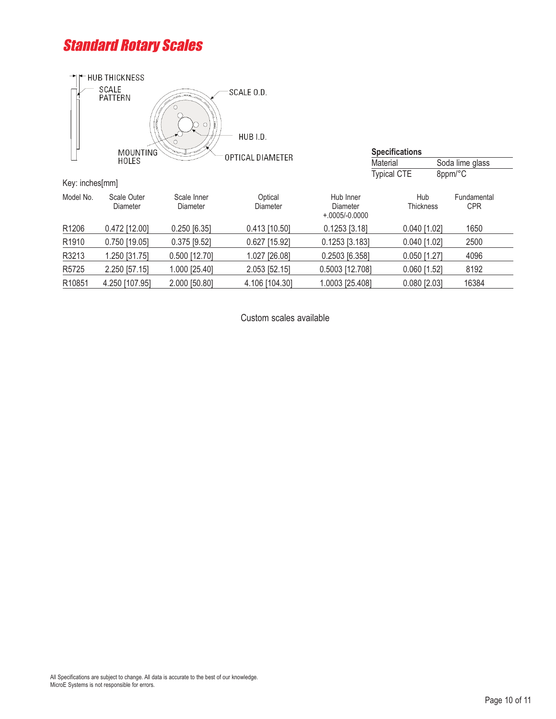## Standard Rotary Scales



|                 | MOUNTING                | $\equiv$                | OPTICAL DIAMETER    |                                           | <b>Specifications</b>   |  |                           |
|-----------------|-------------------------|-------------------------|---------------------|-------------------------------------------|-------------------------|--|---------------------------|
|                 | HOLES                   |                         |                     |                                           | Material                |  | Soda lime glass           |
|                 |                         |                         |                     |                                           | <b>Typical CTE</b>      |  | 8ppm/°C                   |
| Key: inches[mm] |                         |                         |                     |                                           |                         |  |                           |
| Model No.       | Scale Outer<br>Diameter | Scale Inner<br>Diameter | Optical<br>Diameter | Hub Inner<br>Diameter<br>$+.0005/-0.0000$ | Hub<br><b>Thickness</b> |  | Fundamental<br><b>CPR</b> |
| R1206           | $0.472$ [12.00]         | $0.250$ [6.35]          | $0.413$ [10.50]     | $0.1253$ [3.18]                           | $0.040$ [1.02]          |  | 1650                      |
| R1910           | $0.750$ [19.05]         | $0.375$ [9.52]          | $0.627$ [15.92]     | $0.1253$ [3.183]                          | $0.040$ [1.02]          |  | 2500                      |
| R3213           | 1.250 [31.75]           | $0.500$ [12.70]         | 1.027 [26.08]       | 0.2503 [6.358]                            | $0.050$ [1.27]          |  | 4096                      |
| R5725           | 2.250 [57.15]           | 1.000 [25.40]           | 2.053 [52.15]       | 0.5003 [12.708]                           | $0.060$ [1.52]          |  | 8192                      |
| R10851          | 4.250 [107.95]          | 2.000 [50.80]           | 4.106 [104.30]      | 1.0003 [25.408]                           | $0.080$ [2.03]          |  | 16384                     |
|                 |                         |                         |                     |                                           |                         |  |                           |

Custom scales available